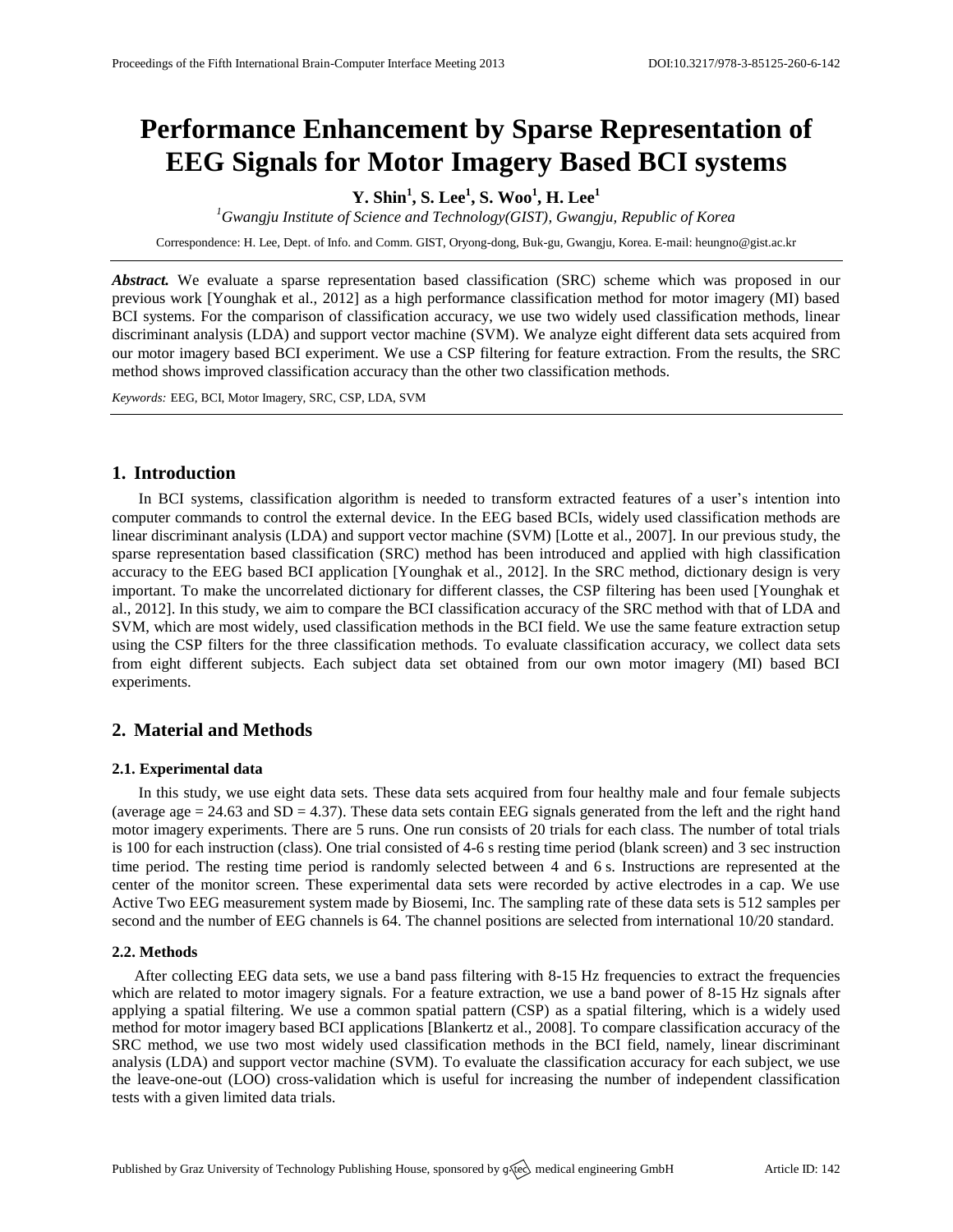# **Performance Enhancement by Sparse Representation of EEG Signals for Motor Imagery Based BCI systems**

## **Y. Shin<sup>1</sup> , S. Lee<sup>1</sup> , S. Woo<sup>1</sup> , H. Lee<sup>1</sup>**

*<sup>1</sup>Gwangju Institute of Science and Technology(GIST), Gwangju, Republic of Korea*

Correspondence: H. Lee, Dept. of Info. and Comm. GIST, Oryong-dong, Buk-gu, Gwangju, Korea. E-mail: [heungno@gist.ac.kr](mailto:heungno@gist.ac.kr)

*Abstract.* We evaluate a sparse representation based classification (SRC) scheme which was proposed in our previous work [Younghak et al., 2012] as a high performance classification method for motor imagery (MI) based BCI systems. For the comparison of classification accuracy, we use two widely used classification methods, linear discriminant analysis (LDA) and support vector machine (SVM). We analyze eight different data sets acquired from our motor imagery based BCI experiment. We use a CSP filtering for feature extraction. From the results, the SRC method shows improved classification accuracy than the other two classification methods.

*Keywords:* EEG, BCI, Motor Imagery, SRC, CSP, LDA, SVM

## **1. Introduction**

In BCI systems, classification algorithm is needed to transform extracted features of a user's intention into computer commands to control the external device. In the EEG based BCIs, widely used classification methods are linear discriminant analysis (LDA) and support vector machine (SVM) [Lotte et al., 2007]. In our previous study, the sparse representation based classification (SRC) method has been introduced and applied with high classification accuracy to the EEG based BCI application [Younghak et al., 2012]. In the SRC method, dictionary design is very important. To make the uncorrelated dictionary for different classes, the CSP filtering has been used [Younghak et al., 2012]. In this study, we aim to compare the BCI classification accuracy of the SRC method with that of LDA and SVM, which are most widely, used classification methods in the BCI field. We use the same feature extraction setup using the CSP filters for the three classification methods. To evaluate classification accuracy, we collect data sets from eight different subjects. Each subject data set obtained from our own motor imagery (MI) based BCI experiments.

## **2. Material and Methods**

#### **2.1. Experimental data**

In this study, we use eight data sets. These data sets acquired from four healthy male and four female subjects (average age  $= 24.63$  and SD  $= 4.37$ ). These data sets contain EEG signals generated from the left and the right hand motor imagery experiments. There are 5 runs. One run consists of 20 trials for each class. The number of total trials is 100 for each instruction (class). One trial consisted of 4-6 s resting time period (blank screen) and 3 sec instruction time period. The resting time period is randomly selected between 4 and 6 s. Instructions are represented at the center of the monitor screen. These experimental data sets were recorded by active electrodes in a cap. We use Active Two EEG measurement system made by Biosemi, Inc. The sampling rate of these data sets is 512 samples per second and the number of EEG channels is 64. The channel positions are selected from international 10/20 standard.

#### **2.2. Methods**

After collecting EEG data sets, we use a band pass filtering with 8-15 Hz frequencies to extract the frequencies which are related to motor imagery signals. For a feature extraction, we use a band power of 8-15 Hz signals after applying a spatial filtering. We use a common spatial pattern (CSP) as a spatial filtering, which is a widely used method for motor imagery based BCI applications [Blankertz et al., 2008]. To compare classification accuracy of the SRC method, we use two most widely used classification methods in the BCI field, namely, linear discriminant analysis (LDA) and support vector machine (SVM). To evaluate the classification accuracy for each subject, we use the leave-one-out (LOO) cross-validation which is useful for increasing the number of independent classification tests with a given limited data trials.